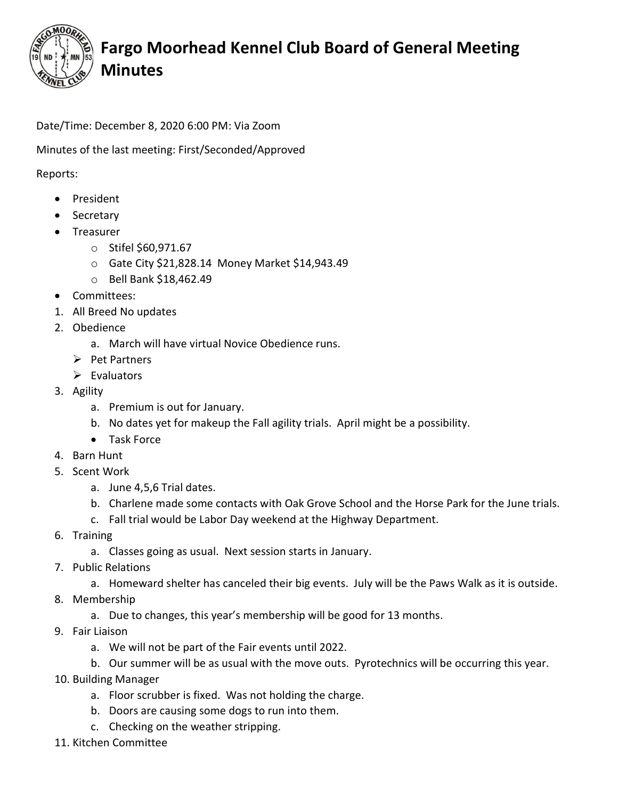

## Fargo Moorhead Kennel Club Board of General Meeting Minutes

Date/Time: December 8, 2020 6:00 PM: Via Zoom

Minutes of the last meeting: First/Seconded/Approved

Reports:

- President
- Secretary
- Treasurer
	- o Stifel \$60,971.67
	- o Gate City \$21,828.14 Money Market \$14,943.49
	- o Bell Bank \$18,462.49
- Committees:
- 1. All Breed No updates
- 2. Obedience
	- a. March will have virtual Novice Obedience runs.
	- $\triangleright$  Pet Partners
	- $\triangleright$  Evaluators
- 3. Agility
	- a. Premium is out for January.
	- b. No dates yet for makeup the Fall agility trials. April might be a possibility.
	- Task Force
- 4. Barn Hunt
- 5. Scent Work
	- a. June 4,5,6 Trial dates.
	- b. Charlene made some contacts with Oak Grove School and the Horse Park for the June trials.
	- c. Fall trial would be Labor Day weekend at the Highway Department.
- 6. Training
	- a. Classes going as usual. Next session starts in January.
- 7. Public Relations
	- a. Homeward shelter has canceled their big events. July will be the Paws Walk as it is outside.
- 8. Membership
	- a. Due to changes, this year's membership will be good for 13 months.
- 9. Fair Liaison
	- a. We will not be part of the Fair events until 2022.
	- b. Our summer will be as usual with the move outs. Pyrotechnics will be occurring this year.
- 10. Building Manager
	- a. Floor scrubber is fixed. Was not holding the charge.
	- b. Doors are causing some dogs to run into them.
	- c. Checking on the weather stripping.
- 11. Kitchen Committee